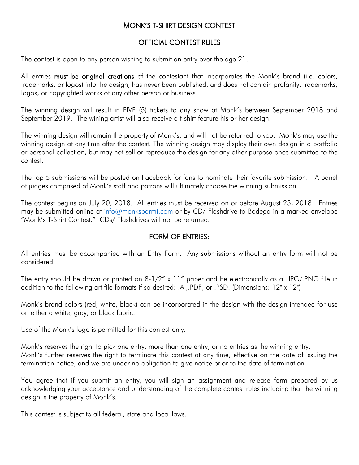# MONK'S T-SHIRT DESIGN CONTEST

#### OFFICIAL CONTEST RULES

The contest is open to any person wishing to submit an entry over the age 21.

All entries must be original creations of the contestant that incorporates the Monk's brand (i.e. colors, trademarks, or logos) into the design, has never been published, and does not contain profanity, trademarks, logos, or copyrighted works of any other person or business.

The winning design will result in FIVE (5) tickets to any show at Monk's between September 2018 and September 2019. The wining artist will also receive a t-shirt feature his or her design.

The winning design will remain the property of Monk's, and will not be returned to you. Monk's may use the winning design at any time after the contest. The winning design may display their own design in a portfolio or personal collection, but may not sell or reproduce the design for any other purpose once submitted to the contest.

The top 5 submissions will be posted on Facebook for fans to nominate their favorite submission. A panel of judges comprised of Monk's staff and patrons will ultimately choose the winning submission.

The contest begins on July 20, 2018. All entries must be received on or before August 25, 2018. Entries may be submitted online at [info@monksbarmt.com](mailto:info@monksbarmt.com) or by CD/ Flashdrive to Bodega in a marked envelope "Monk's T-Shirt Contest." CDs/ Flashdrives will not be returned.

## FORM OF ENTRIES:

All entries must be accompanied with an Entry Form. Any submissions without an entry form will not be considered.

The entry should be drawn or printed on 8-1/2" x 11" paper and be electronically as a .JPG/.PNG file in addition to the following art file formats if so desired: .AI,.PDF, or .PSD. (Dimensions: 12" x 12")

Monk's brand colors (red, white, black) can be incorporated in the design with the design intended for use on either a white, gray, or black fabric.

Use of the Monk's logo is permitted for this contest only.

Monk's reserves the right to pick one entry, more than one entry, or no entries as the winning entry. Monk's further reserves the right to terminate this contest at any time, effective on the date of issuing the termination notice, and we are under no obligation to give notice prior to the date of termination.

You agree that if you submit an entry, you will sign an assignment and release form prepared by us acknowledging your acceptance and understanding of the complete contest rules including that the winning design is the property of Monk's.

This contest is subject to all federal, state and local laws.